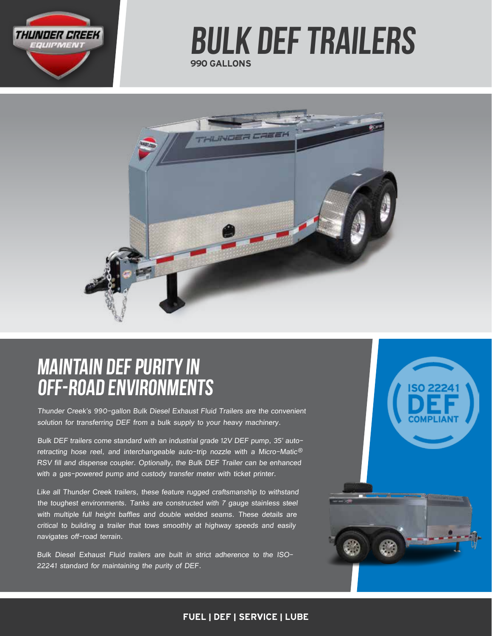

# 990 GALLONS bulk DEF Trailers



# MAINTAIN DEF PURITY IN OFF-ROAD ENVIRONMENTS

Thunder Creek's 990-gallon Bulk Diesel Exhaust Fluid Trailers are the convenient solution for transferring DEF from a bulk supply to your heavy machinery.

Bulk DEF trailers come standard with an industrial grade 12V DEF pump, 35' autoretracting hose reel, and interchangeable auto-trip nozzle with a Micro-Matic® RSV fill and dispense coupler. Optionally, the Bulk DEF Trailer can be enhanced with a gas-powered pump and custody transfer meter with ticket printer.

Like all Thunder Creek trailers, these feature rugged craftsmanship to withstand the toughest environments. Tanks are constructed with 7 gauge stainless steel with multiple full height baffles and double welded seams. These details are critical to building a trailer that tows smoothly at highway speeds and easily navigates off-road terrain.

Bulk Diesel Exhaust Fluid trailers are built in strict adherence to the ISO-22241 standard for maintaining the purity of DEF.